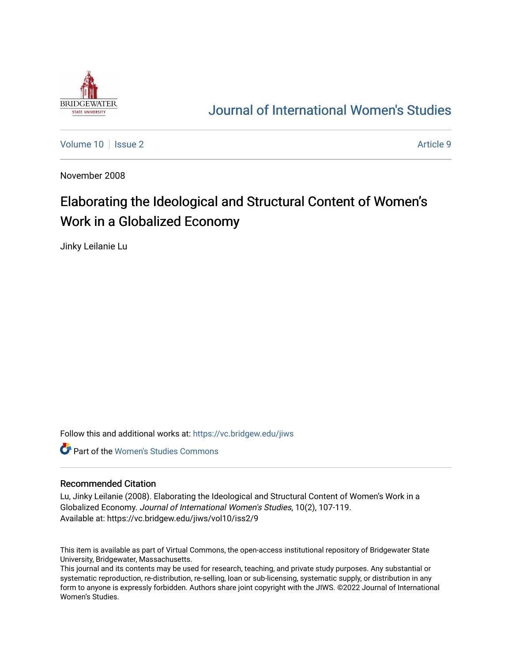

## [Journal of International Women's Studies](https://vc.bridgew.edu/jiws)

[Volume 10](https://vc.bridgew.edu/jiws/vol10) | [Issue 2](https://vc.bridgew.edu/jiws/vol10/iss2) Article 9

November 2008

# Elaborating the Ideological and Structural Content of Women's Work in a Globalized Economy

Jinky Leilanie Lu

Follow this and additional works at: [https://vc.bridgew.edu/jiws](https://vc.bridgew.edu/jiws?utm_source=vc.bridgew.edu%2Fjiws%2Fvol10%2Fiss2%2F9&utm_medium=PDF&utm_campaign=PDFCoverPages)

**C** Part of the Women's Studies Commons

#### Recommended Citation

Lu, Jinky Leilanie (2008). Elaborating the Ideological and Structural Content of Women's Work in a Globalized Economy. Journal of International Women's Studies, 10(2), 107-119. Available at: https://vc.bridgew.edu/jiws/vol10/iss2/9

This item is available as part of Virtual Commons, the open-access institutional repository of Bridgewater State University, Bridgewater, Massachusetts.

This journal and its contents may be used for research, teaching, and private study purposes. Any substantial or systematic reproduction, re-distribution, re-selling, loan or sub-licensing, systematic supply, or distribution in any form to anyone is expressly forbidden. Authors share joint copyright with the JIWS. ©2022 Journal of International Women's Studies.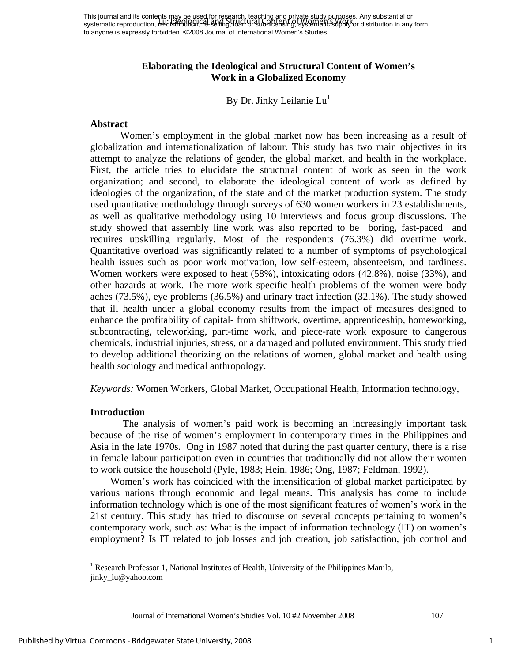This journal and its contents may be used for research, teaching and private study purposes. Any substantial or This journal and its contents they are disculon research, leading this more pays background and its content or<br>systematic reproduction, re-distribution, rel. seling, loan of Bub-Alessing, systematic supply or distribution to anyone is expressly forbidden. ©2008 Journal of International Women's Studies.

### **Elaborating the Ideological and Structural Content of Women's Work in a Globalized Economy**

By Dr. Jinky Leilanie  $Lu^1$ 

#### **Abstract**

 Women's employment in the global market now has been increasing as a result of globalization and internationalization of labour. This study has two main objectives in its attempt to analyze the relations of gender, the global market, and health in the workplace. First, the article tries to elucidate the structural content of work as seen in the work organization; and second, to elaborate the ideological content of work as defined by ideologies of the organization, of the state and of the market production system. The study used quantitative methodology through surveys of 630 women workers in 23 establishments, as well as qualitative methodology using 10 interviews and focus group discussions. The study showed that assembly line work was also reported to be boring, fast-paced and requires upskilling regularly. Most of the respondents (76.3%) did overtime work. Quantitative overload was significantly related to a number of symptoms of psychological health issues such as poor work motivation, low self-esteem, absenteeism, and tardiness. Women workers were exposed to heat (58%), intoxicating odors (42.8%), noise (33%), and other hazards at work. The more work specific health problems of the women were body aches (73.5%), eye problems (36.5%) and urinary tract infection (32.1%). The study showed that ill health under a global economy results from the impact of measures designed to enhance the profitability of capital- from shiftwork, overtime, apprenticeship, homeworking, subcontracting, teleworking, part-time work, and piece-rate work exposure to dangerous chemicals, industrial injuries, stress, or a damaged and polluted environment. This study tried to develop additional theorizing on the relations of women, global market and health using health sociology and medical anthropology.

*Keywords:* Women Workers, Global Market, Occupational Health, Information technology,

#### **Introduction**

 $\overline{\phantom{a}}$ 

 The analysis of women's paid work is becoming an increasingly important task because of the rise of women's employment in contemporary times in the Philippines and Asia in the late 1970s. Ong in 1987 noted that during the past quarter century, there is a rise in female labour participation even in countries that traditionally did not allow their women to work outside the household (Pyle, 1983; Hein, 1986; Ong, 1987; Feldman, 1992).

Women's work has coincided with the intensification of global market participated by various nations through economic and legal means. This analysis has come to include information technology which is one of the most significant features of women's work in the 21st century. This study has tried to discourse on several concepts pertaining to women's contemporary work, such as: What is the impact of information technology (IT) on women's employment? Is IT related to job losses and job creation, job satisfaction, job control and

Journal of International Women's Studies Vol. 10 #2 November 2008 107

1

<sup>&</sup>lt;sup>1</sup> Research Professor 1, National Institutes of Health, University of the Philippines Manila, jinky\_lu@yahoo.com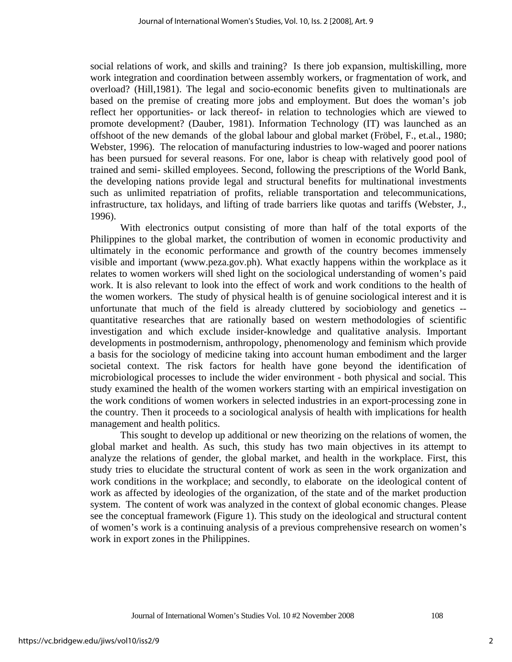social relations of work, and skills and training? Is there job expansion, multiskilling, more work integration and coordination between assembly workers, or fragmentation of work, and overload? (Hill,1981). The legal and socio-economic benefits given to multinationals are based on the premise of creating more jobs and employment. But does the woman's job reflect her opportunities- or lack thereof- in relation to technologies which are viewed to promote development? (Dauber, 1981). Information Technology (IT) was launched as an offshoot of the new demands of the global labour and global market (Fröbel, F., et.al., 1980; Webster, 1996). The relocation of manufacturing industries to low-waged and poorer nations has been pursued for several reasons. For one, labor is cheap with relatively good pool of trained and semi- skilled employees. Second, following the prescriptions of the World Bank, the developing nations provide legal and structural benefits for multinational investments such as unlimited repatriation of profits, reliable transportation and telecommunications, infrastructure, tax holidays, and lifting of trade barriers like quotas and tariffs (Webster, J., 1996).

 With electronics output consisting of more than half of the total exports of the Philippines to the global market, the contribution of women in economic productivity and ultimately in the economic performance and growth of the country becomes immensely visible and important (www.peza.gov.ph). What exactly happens within the workplace as it relates to women workers will shed light on the sociological understanding of women's paid work. It is also relevant to look into the effect of work and work conditions to the health of the women workers. The study of physical health is of genuine sociological interest and it is unfortunate that much of the field is already cluttered by sociobiology and genetics - quantitative researches that are rationally based on western methodologies of scientific investigation and which exclude insider-knowledge and qualitative analysis. Important developments in postmodernism, anthropology, phenomenology and feminism which provide a basis for the sociology of medicine taking into account human embodiment and the larger societal context. The risk factors for health have gone beyond the identification of microbiological processes to include the wider environment - both physical and social. This study examined the health of the women workers starting with an empirical investigation on the work conditions of women workers in selected industries in an export-processing zone in the country. Then it proceeds to a sociological analysis of health with implications for health management and health politics.

This sought to develop up additional or new theorizing on the relations of women, the global market and health. As such, this study has two main objectives in its attempt to analyze the relations of gender, the global market, and health in the workplace. First, this study tries to elucidate the structural content of work as seen in the work organization and work conditions in the workplace; and secondly, to elaborate on the ideological content of work as affected by ideologies of the organization, of the state and of the market production system. The content of work was analyzed in the context of global economic changes. Please see the conceptual framework (Figure 1). This study on the ideological and structural content of women's work is a continuing analysis of a previous comprehensive research on women's work in export zones in the Philippines.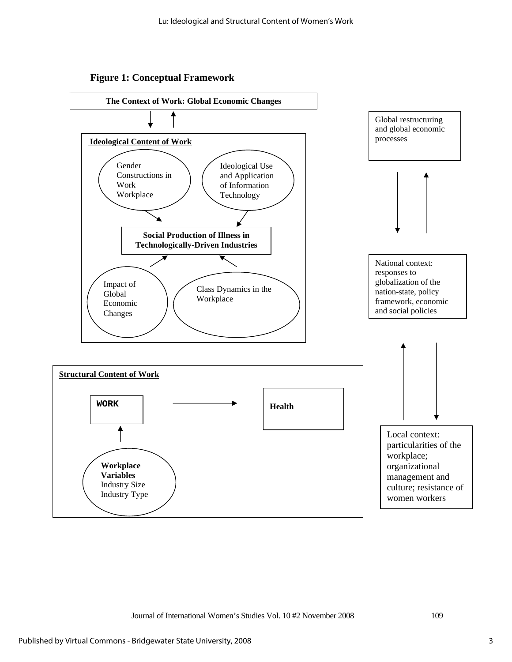



Journal of International Women's Studies Vol. 10 #2 November 2008 109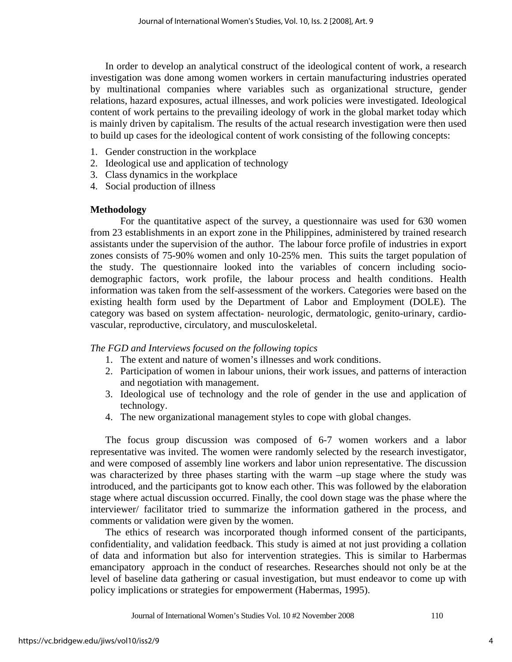In order to develop an analytical construct of the ideological content of work, a research investigation was done among women workers in certain manufacturing industries operated by multinational companies where variables such as organizational structure, gender relations, hazard exposures, actual illnesses, and work policies were investigated. Ideological content of work pertains to the prevailing ideology of work in the global market today which is mainly driven by capitalism. The results of the actual research investigation were then used to build up cases for the ideological content of work consisting of the following concepts:

- 1. Gender construction in the workplace
- 2. Ideological use and application of technology
- 3. Class dynamics in the workplace
- 4. Social production of illness

## **Methodology**

 For the quantitative aspect of the survey, a questionnaire was used for 630 women from 23 establishments in an export zone in the Philippines, administered by trained research assistants under the supervision of the author. The labour force profile of industries in export zones consists of 75-90% women and only 10-25% men. This suits the target population of the study. The questionnaire looked into the variables of concern including sociodemographic factors, work profile, the labour process and health conditions. Health information was taken from the self-assessment of the workers. Categories were based on the existing health form used by the Department of Labor and Employment (DOLE). The category was based on system affectation- neurologic, dermatologic, genito-urinary, cardiovascular, reproductive, circulatory, and musculoskeletal.

*The FGD and Interviews focused on the following topics*

- 1. The extent and nature of women's illnesses and work conditions.
- 2. Participation of women in labour unions, their work issues, and patterns of interaction and negotiation with management.
- 3. Ideological use of technology and the role of gender in the use and application of technology.
- 4. The new organizational management styles to cope with global changes.

The focus group discussion was composed of 6-7 women workers and a labor representative was invited. The women were randomly selected by the research investigator, and were composed of assembly line workers and labor union representative. The discussion was characterized by three phases starting with the warm –up stage where the study was introduced, and the participants got to know each other. This was followed by the elaboration stage where actual discussion occurred. Finally, the cool down stage was the phase where the interviewer/ facilitator tried to summarize the information gathered in the process, and comments or validation were given by the women.

The ethics of research was incorporated though informed consent of the participants, confidentiality, and validation feedback. This study is aimed at not just providing a collation of data and information but also for intervention strategies. This is similar to Harbermas emancipatory approach in the conduct of researches. Researches should not only be at the level of baseline data gathering or casual investigation, but must endeavor to come up with policy implications or strategies for empowerment (Habermas, 1995).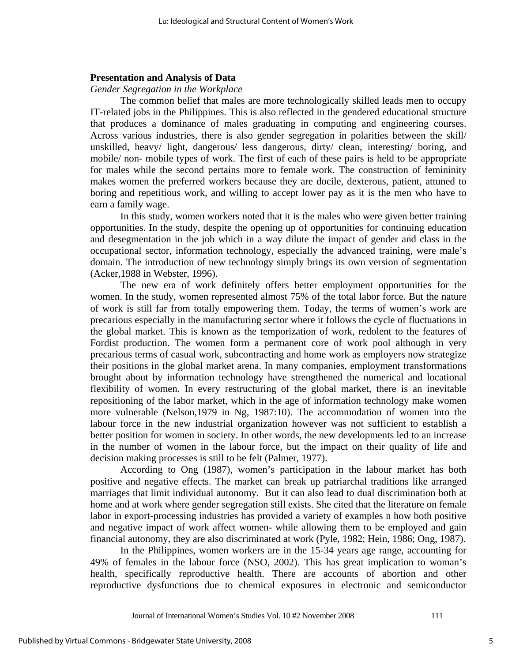#### **Presentation and Analysis of Data**

#### *Gender Segregation in the Workplace*

The common belief that males are more technologically skilled leads men to occupy IT-related jobs in the Philippines. This is also reflected in the gendered educational structure that produces a dominance of males graduating in computing and engineering courses. Across various industries, there is also gender segregation in polarities between the skill/ unskilled, heavy/ light, dangerous/ less dangerous, dirty/ clean, interesting/ boring, and mobile/ non- mobile types of work. The first of each of these pairs is held to be appropriate for males while the second pertains more to female work. The construction of femininity makes women the preferred workers because they are docile, dexterous, patient, attuned to boring and repetitious work, and willing to accept lower pay as it is the men who have to earn a family wage.

In this study, women workers noted that it is the males who were given better training opportunities. In the study, despite the opening up of opportunities for continuing education and desegmentation in the job which in a way dilute the impact of gender and class in the occupational sector, information technology, especially the advanced training, were male's domain. The introduction of new technology simply brings its own version of segmentation (Acker,1988 in Webster, 1996).

 The new era of work definitely offers better employment opportunities for the women. In the study, women represented almost 75% of the total labor force. But the nature of work is still far from totally empowering them. Today, the terms of women's work are precarious especially in the manufacturing sector where it follows the cycle of fluctuations in the global market. This is known as the temporization of work, redolent to the features of Fordist production. The women form a permanent core of work pool although in very precarious terms of casual work, subcontracting and home work as employers now strategize their positions in the global market arena. In many companies, employment transformations brought about by information technology have strengthened the numerical and locational flexibility of women. In every restructuring of the global market, there is an inevitable repositioning of the labor market, which in the age of information technology make women more vulnerable (Nelson,1979 in Ng, 1987:10). The accommodation of women into the labour force in the new industrial organization however was not sufficient to establish a better position for women in society. In other words, the new developments led to an increase in the number of women in the labour force, but the impact on their quality of life and decision making processes is still to be felt (Palmer, 1977).

According to Ong (1987), women's participation in the labour market has both positive and negative effects. The market can break up patriarchal traditions like arranged marriages that limit individual autonomy. But it can also lead to dual discrimination both at home and at work where gender segregation still exists. She cited that the literature on female labor in export-processing industries has provided a variety of examples n how both positive and negative impact of work affect women- while allowing them to be employed and gain financial autonomy, they are also discriminated at work (Pyle, 1982; Hein, 1986; Ong, 1987).

In the Philippines, women workers are in the 15-34 years age range, accounting for 49% of females in the labour force (NSO, 2002). This has great implication to woman's health, specifically reproductive health. There are accounts of abortion and other reproductive dysfunctions due to chemical exposures in electronic and semiconductor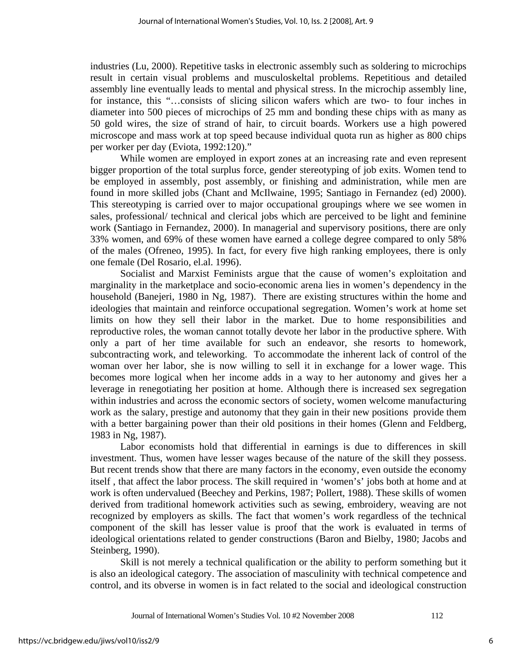industries (Lu, 2000). Repetitive tasks in electronic assembly such as soldering to microchips result in certain visual problems and musculoskeltal problems. Repetitious and detailed assembly line eventually leads to mental and physical stress. In the microchip assembly line, for instance, this "…consists of slicing silicon wafers which are two- to four inches in diameter into 500 pieces of microchips of 25 mm and bonding these chips with as many as 50 gold wires, the size of strand of hair, to circuit boards. Workers use a high powered microscope and mass work at top speed because individual quota run as higher as 800 chips per worker per day (Eviota, 1992:120)."

While women are employed in export zones at an increasing rate and even represent bigger proportion of the total surplus force, gender stereotyping of job exits. Women tend to be employed in assembly, post assembly, or finishing and administration, while men are found in more skilled jobs (Chant and McIlwaine, 1995; Santiago in Fernandez (ed) 2000). This stereotyping is carried over to major occupational groupings where we see women in sales, professional/ technical and clerical jobs which are perceived to be light and feminine work (Santiago in Fernandez, 2000). In managerial and supervisory positions, there are only 33% women, and 69% of these women have earned a college degree compared to only 58% of the males (Ofreneo, 1995). In fact, for every five high ranking employees, there is only one female (Del Rosario, el.al. 1996).

 Socialist and Marxist Feminists argue that the cause of women's exploitation and marginality in the marketplace and socio-economic arena lies in women's dependency in the household (Banejeri, 1980 in Ng, 1987). There are existing structures within the home and ideologies that maintain and reinforce occupational segregation. Women's work at home set limits on how they sell their labor in the market. Due to home responsibilities and reproductive roles, the woman cannot totally devote her labor in the productive sphere. With only a part of her time available for such an endeavor, she resorts to homework, subcontracting work, and teleworking. To accommodate the inherent lack of control of the woman over her labor, she is now willing to sell it in exchange for a lower wage. This becomes more logical when her income adds in a way to her autonomy and gives her a leverage in renegotiating her position at home. Although there is increased sex segregation within industries and across the economic sectors of society, women welcome manufacturing work as the salary, prestige and autonomy that they gain in their new positions provide them with a better bargaining power than their old positions in their homes (Glenn and Feldberg, 1983 in Ng, 1987).

Labor economists hold that differential in earnings is due to differences in skill investment. Thus, women have lesser wages because of the nature of the skill they possess. But recent trends show that there are many factors in the economy, even outside the economy itself , that affect the labor process. The skill required in 'women's' jobs both at home and at work is often undervalued (Beechey and Perkins, 1987; Pollert, 1988). These skills of women derived from traditional homework activities such as sewing, embroidery, weaving are not recognized by employers as skills. The fact that women's work regardless of the technical component of the skill has lesser value is proof that the work is evaluated in terms of ideological orientations related to gender constructions (Baron and Bielby, 1980; Jacobs and Steinberg, 1990).

 Skill is not merely a technical qualification or the ability to perform something but it is also an ideological category. The association of masculinity with technical competence and control, and its obverse in women is in fact related to the social and ideological construction

Journal of International Women's Studies Vol. 10 #2 November 2008 112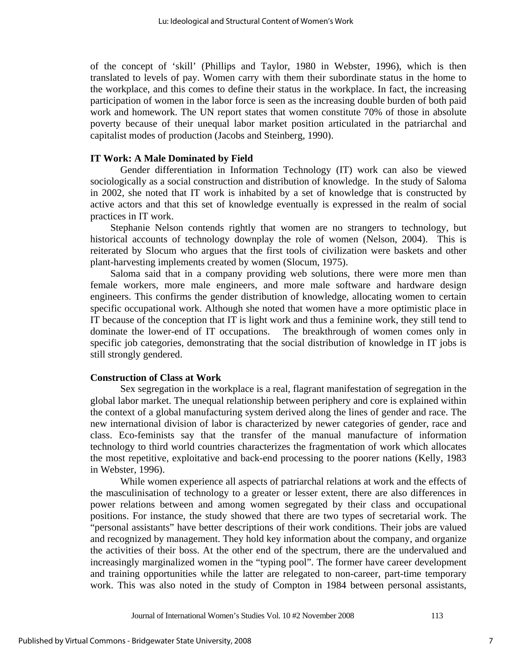of the concept of 'skill' (Phillips and Taylor, 1980 in Webster, 1996), which is then translated to levels of pay. Women carry with them their subordinate status in the home to the workplace, and this comes to define their status in the workplace. In fact, the increasing participation of women in the labor force is seen as the increasing double burden of both paid work and homework. The UN report states that women constitute 70% of those in absolute poverty because of their unequal labor market position articulated in the patriarchal and capitalist modes of production (Jacobs and Steinberg, 1990).

#### **IT Work: A Male Dominated by Field**

Gender differentiation in Information Technology (IT) work can also be viewed sociologically as a social construction and distribution of knowledge. In the study of Saloma in 2002, she noted that IT work is inhabited by a set of knowledge that is constructed by active actors and that this set of knowledge eventually is expressed in the realm of social practices in IT work.

Stephanie Nelson contends rightly that women are no strangers to technology, but historical accounts of technology downplay the role of women (Nelson, 2004). This is reiterated by Slocum who argues that the first tools of civilization were baskets and other plant-harvesting implements created by women (Slocum, 1975).

Saloma said that in a company providing web solutions, there were more men than female workers, more male engineers, and more male software and hardware design engineers. This confirms the gender distribution of knowledge, allocating women to certain specific occupational work. Although she noted that women have a more optimistic place in IT because of the conception that IT is light work and thus a feminine work, they still tend to dominate the lower-end of IT occupations. The breakthrough of women comes only in specific job categories, demonstrating that the social distribution of knowledge in IT jobs is still strongly gendered.

#### **Construction of Class at Work**

Sex segregation in the workplace is a real, flagrant manifestation of segregation in the global labor market. The unequal relationship between periphery and core is explained within the context of a global manufacturing system derived along the lines of gender and race. The new international division of labor is characterized by newer categories of gender, race and class. Eco-feminists say that the transfer of the manual manufacture of information technology to third world countries characterizes the fragmentation of work which allocates the most repetitive, exploitative and back-end processing to the poorer nations (Kelly, 1983 in Webster, 1996).

While women experience all aspects of patriarchal relations at work and the effects of the masculinisation of technology to a greater or lesser extent, there are also differences in power relations between and among women segregated by their class and occupational positions. For instance, the study showed that there are two types of secretarial work. The "personal assistants" have better descriptions of their work conditions. Their jobs are valued and recognized by management. They hold key information about the company, and organize the activities of their boss. At the other end of the spectrum, there are the undervalued and increasingly marginalized women in the "typing pool". The former have career development and training opportunities while the latter are relegated to non-career, part-time temporary work. This was also noted in the study of Compton in 1984 between personal assistants,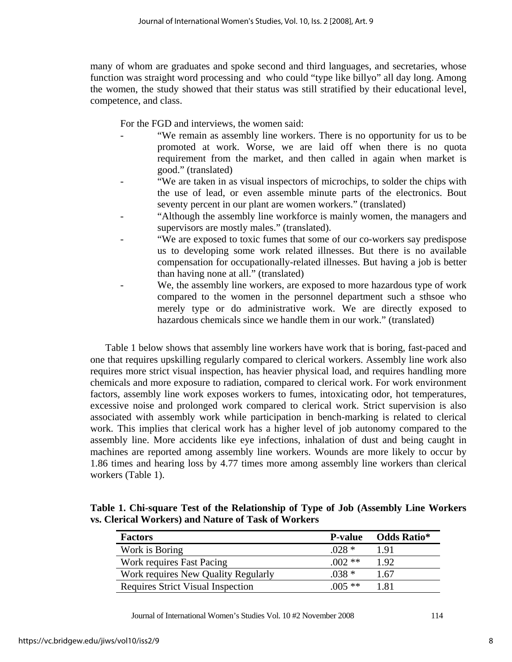many of whom are graduates and spoke second and third languages, and secretaries, whose function was straight word processing and who could "type like billyo" all day long. Among the women, the study showed that their status was still stratified by their educational level, competence, and class.

For the FGD and interviews, the women said:

- "We remain as assembly line workers. There is no opportunity for us to be promoted at work. Worse, we are laid off when there is no quota requirement from the market, and then called in again when market is good." (translated)
- "We are taken in as visual inspectors of microchips, to solder the chips with the use of lead, or even assemble minute parts of the electronics. Bout seventy percent in our plant are women workers." (translated)
- "Although the assembly line workforce is mainly women, the managers and supervisors are mostly males." (translated).
- "We are exposed to toxic fumes that some of our co-workers say predispose us to developing some work related illnesses. But there is no available compensation for occupationally-related illnesses. But having a job is better than having none at all." (translated)
- We, the assembly line workers, are exposed to more hazardous type of work compared to the women in the personnel department such a sthsoe who merely type or do administrative work. We are directly exposed to hazardous chemicals since we handle them in our work." (translated)

Table 1 below shows that assembly line workers have work that is boring, fast-paced and one that requires upskilling regularly compared to clerical workers. Assembly line work also requires more strict visual inspection, has heavier physical load, and requires handling more chemicals and more exposure to radiation, compared to clerical work. For work environment factors, assembly line work exposes workers to fumes, intoxicating odor, hot temperatures, excessive noise and prolonged work compared to clerical work. Strict supervision is also associated with assembly work while participation in bench-marking is related to clerical work. This implies that clerical work has a higher level of job autonomy compared to the assembly line. More accidents like eye infections, inhalation of dust and being caught in machines are reported among assembly line workers. Wounds are more likely to occur by 1.86 times and hearing loss by 4.77 times more among assembly line workers than clerical workers (Table 1).

**Table 1. Chi-square Test of the Relationship of Type of Job (Assembly Line Workers vs. Clerical Workers) and Nature of Task of Workers** 

| <b>Factors</b>                           | <b>P-value</b> | Odds Ratio* |
|------------------------------------------|----------------|-------------|
| Work is Boring                           | $.028*$        | 1.91        |
| Work requires Fast Pacing                | $(002**$       | 1.92        |
| Work requires New Quality Regularly      | $.038*$        | 1.67        |
| <b>Requires Strict Visual Inspection</b> | $005$ **       | 181         |

Journal of International Women's Studies Vol. 10 #2 November 2008 114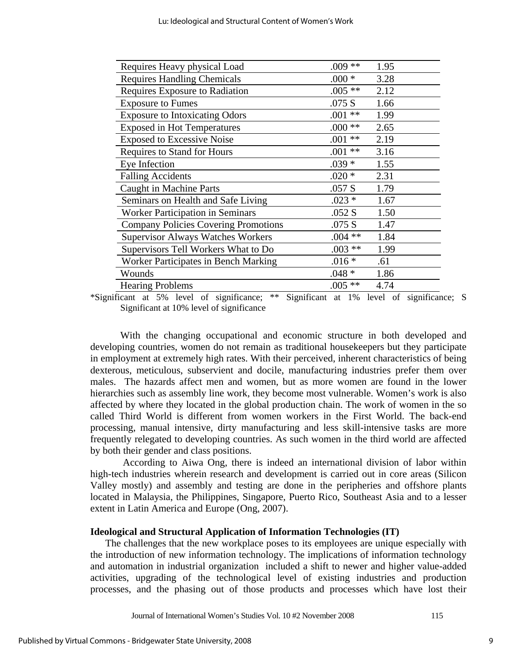| Requires Heavy physical Load                | $.009**$     | 1.95 |
|---------------------------------------------|--------------|------|
| <b>Requires Handling Chemicals</b>          | $.000 *$     | 3.28 |
| Requires Exposure to Radiation              | $.005**$     | 2.12 |
| <b>Exposure to Fumes</b>                    | .075 S       | 1.66 |
| <b>Exposure to Intoxicating Odors</b>       | $**$<br>.001 | 1.99 |
| <b>Exposed in Hot Temperatures</b>          | $.000**$     | 2.65 |
| <b>Exposed to Excessive Noise</b>           | $**$<br>.001 | 2.19 |
| Requires to Stand for Hours                 | $**$<br>.001 | 3.16 |
| Eye Infection                               | $.039*$      | 1.55 |
| <b>Falling Accidents</b>                    | $.020*$      | 2.31 |
| <b>Caught in Machine Parts</b>              | .057 S       | 1.79 |
| Seminars on Health and Safe Living          | $.023*$      | 1.67 |
| <b>Worker Participation in Seminars</b>     | .052 S       | 1.50 |
| <b>Company Policies Covering Promotions</b> | .075 S       | 1.47 |
| <b>Supervisor Always Watches Workers</b>    | $.004**$     | 1.84 |
| Supervisors Tell Workers What to Do         | $.003**$     | 1.99 |
| Worker Participates in Bench Marking        | $.016*$      | .61  |
| Wounds                                      | $.048*$      | 1.86 |
| <b>Hearing Problems</b>                     | $.005**$     | 4.74 |

\*Significant at 5% level of significance; \*\* Significant at 1% level of significance; S Significant at 10% level of significance

With the changing occupational and economic structure in both developed and developing countries, women do not remain as traditional housekeepers but they participate in employment at extremely high rates. With their perceived, inherent characteristics of being dexterous, meticulous, subservient and docile, manufacturing industries prefer them over males. The hazards affect men and women, but as more women are found in the lower hierarchies such as assembly line work, they become most vulnerable. Women's work is also affected by where they located in the global production chain. The work of women in the so called Third World is different from women workers in the First World. The back-end processing, manual intensive, dirty manufacturing and less skill-intensive tasks are more frequently relegated to developing countries. As such women in the third world are affected by both their gender and class positions.

 According to Aiwa Ong, there is indeed an international division of labor within high-tech industries wherein research and development is carried out in core areas (Silicon Valley mostly) and assembly and testing are done in the peripheries and offshore plants located in Malaysia, the Philippines, Singapore, Puerto Rico, Southeast Asia and to a lesser extent in Latin America and Europe (Ong, 2007).

## **Ideological and Structural Application of Information Technologies (IT)**

The challenges that the new workplace poses to its employees are unique especially with the introduction of new information technology. The implications of information technology and automation in industrial organization included a shift to newer and higher value-added activities, upgrading of the technological level of existing industries and production processes, and the phasing out of those products and processes which have lost their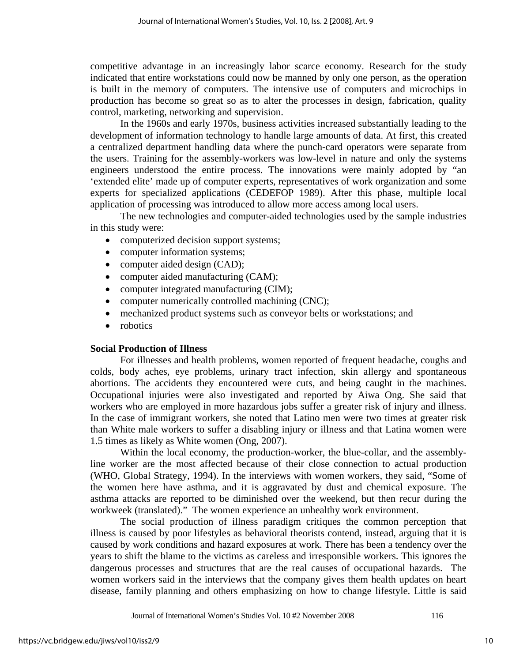competitive advantage in an increasingly labor scarce economy. Research for the study indicated that entire workstations could now be manned by only one person, as the operation is built in the memory of computers. The intensive use of computers and microchips in production has become so great so as to alter the processes in design, fabrication, quality control, marketing, networking and supervision.

 In the 1960s and early 1970s, business activities increased substantially leading to the development of information technology to handle large amounts of data. At first, this created a centralized department handling data where the punch-card operators were separate from the users. Training for the assembly-workers was low-level in nature and only the systems engineers understood the entire process. The innovations were mainly adopted by "an 'extended elite' made up of computer experts, representatives of work organization and some experts for specialized applications (CEDEFOP 1989). After this phase, multiple local application of processing was introduced to allow more access among local users.

 The new technologies and computer-aided technologies used by the sample industries in this study were:

- computerized decision support systems;
- computer information systems;
- computer aided design (CAD);
- computer aided manufacturing (CAM);
- computer integrated manufacturing (CIM);
- computer numerically controlled machining (CNC);
- mechanized product systems such as conveyor belts or workstations; and
- robotics

## **Social Production of Illness**

 For illnesses and health problems, women reported of frequent headache, coughs and colds, body aches, eye problems, urinary tract infection, skin allergy and spontaneous abortions. The accidents they encountered were cuts, and being caught in the machines. Occupational injuries were also investigated and reported by Aiwa Ong. She said that workers who are employed in more hazardous jobs suffer a greater risk of injury and illness. In the case of immigrant workers, she noted that Latino men were two times at greater risk than White male workers to suffer a disabling injury or illness and that Latina women were 1.5 times as likely as White women (Ong, 2007).

Within the local economy, the production-worker, the blue-collar, and the assemblyline worker are the most affected because of their close connection to actual production (WHO, Global Strategy, 1994). In the interviews with women workers, they said, "Some of the women here have asthma, and it is aggravated by dust and chemical exposure. The asthma attacks are reported to be diminished over the weekend, but then recur during the workweek (translated)." The women experience an unhealthy work environment.

The social production of illness paradigm critiques the common perception that illness is caused by poor lifestyles as behavioral theorists contend, instead, arguing that it is caused by work conditions and hazard exposures at work. There has been a tendency over the years to shift the blame to the victims as careless and irresponsible workers. This ignores the dangerous processes and structures that are the real causes of occupational hazards. The women workers said in the interviews that the company gives them health updates on heart disease, family planning and others emphasizing on how to change lifestyle. Little is said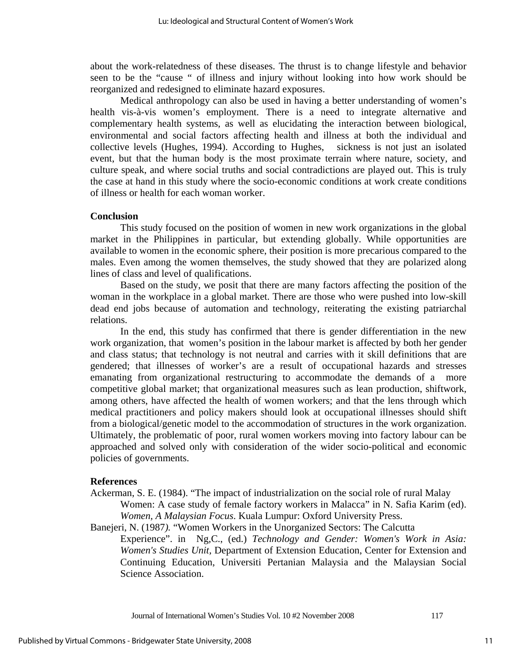about the work-relatedness of these diseases. The thrust is to change lifestyle and behavior seen to be the "cause " of illness and injury without looking into how work should be reorganized and redesigned to eliminate hazard exposures.

Medical anthropology can also be used in having a better understanding of women's health vis-à-vis women's employment. There is a need to integrate alternative and complementary health systems, as well as elucidating the interaction between biological, environmental and social factors affecting health and illness at both the individual and collective levels (Hughes, 1994). According to Hughes, sickness is not just an isolated event, but that the human body is the most proximate terrain where nature, society, and culture speak, and where social truths and social contradictions are played out. This is truly the case at hand in this study where the socio-economic conditions at work create conditions of illness or health for each woman worker.

#### **Conclusion**

This study focused on the position of women in new work organizations in the global market in the Philippines in particular, but extending globally. While opportunities are available to women in the economic sphere, their position is more precarious compared to the males. Even among the women themselves, the study showed that they are polarized along lines of class and level of qualifications.

 Based on the study, we posit that there are many factors affecting the position of the woman in the workplace in a global market. There are those who were pushed into low-skill dead end jobs because of automation and technology, reiterating the existing patriarchal relations.

In the end, this study has confirmed that there is gender differentiation in the new work organization, that women's position in the labour market is affected by both her gender and class status; that technology is not neutral and carries with it skill definitions that are gendered; that illnesses of worker's are a result of occupational hazards and stresses emanating from organizational restructuring to accommodate the demands of a more competitive global market; that organizational measures such as lean production, shiftwork, among others, have affected the health of women workers; and that the lens through which medical practitioners and policy makers should look at occupational illnesses should shift from a biological/genetic model to the accommodation of structures in the work organization. Ultimately, the problematic of poor, rural women workers moving into factory labour can be approached and solved only with consideration of the wider socio-political and economic policies of governments.

#### **References**

Ackerman, S. E. (1984). "The impact of industrialization on the social role of rural Malay Women: A case study of female factory workers in Malacca" in N. Safia Karim (ed). *Women, A Malaysian Focus*. Kuala Lumpur: Oxford University Press.

Banejeri, N. (1987*).* "Women Workers in the Unorganized Sectors: The Calcutta

Experience". in Ng,C., (ed.) *Technology and Gender: Women's Work in Asia: Women's Studies Unit,* Department of Extension Education, Center for Extension and Continuing Education, Universiti Pertanian Malaysia and the Malaysian Social Science Association.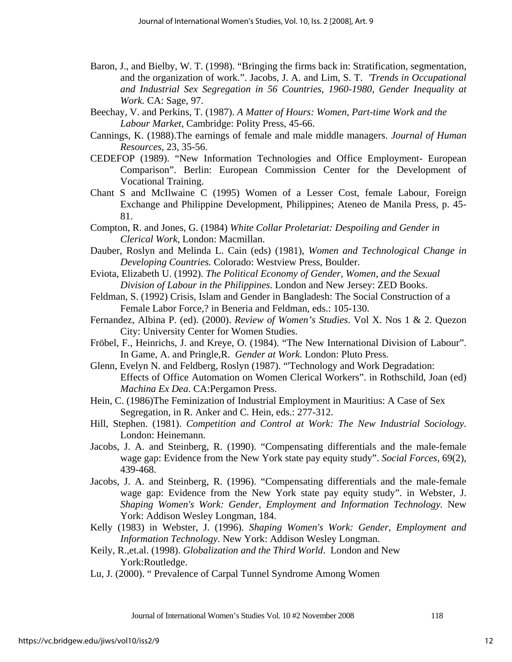- Baron, J., and Bielby, W. T. (1998). "Bringing the firms back in: Stratification, segmentation, and the organization of work.". Jacobs, J. A. and Lim, S. T. *'Trends in Occupational and Industrial Sex Segregation in 56 Countries, 1960-1980, Gender Inequality at Work.* CA: Sage, 97.
- Beechay, V. and Perkins, T. (1987). *A Matter of Hours: Women, Part-time Work and the Labour Market*, Cambridge: Polity Press, 45-66.
- Cannings, K. (1988).The earnings of female and male middle managers. *Journal of Human Resources,* 23, 35-56.
- CEDEFOP (1989). "New Information Technologies and Office Employment- European Comparison". Berlin: European Commission Center for the Development of Vocational Training.
- Chant S and McIlwaine C (1995) Women of a Lesser Cost, female Labour, Foreign Exchange and Philippine Development, Philippines; Ateneo de Manila Press, p. 45- 81.
- Compton, R. and Jones, G. (1984) *White Collar Proletariat: Despoiling and Gender in Clerical Work*, London: Macmillan.
- Dauber, Roslyn and Melinda L. Cain (eds) (1981), *Women and Technological Change in Developing Countries.* Colorado: Westview Press, Boulder.
- Eviota, Elizabeth U. (1992). *The Political Economy of Gender, Women, and the Sexual Division of Labour in the Philippines*. London and New Jersey: ZED Books.
- Feldman, S. (1992) Crisis, Islam and Gender in Bangladesh: The Social Construction of a Female Labor Force,? in Beneria and Feldman, eds.: 105-130.
- Fernandez, Albina P. (ed). (2000). *Review of Women's Studies*. Vol X. Nos 1 & 2. Quezon City: University Center for Women Studies.
- Fröbel, F., Heinrichs, J. and Kreye, O. (1984). "The New International Division of Labour". In Game, A. and Pringle,R. *Gender at Work.* London: Pluto Press.
- Glenn, Evelyn N. and Feldberg, Roslyn (1987). "'Technology and Work Degradation: Effects of Office Automation on Women Clerical Workers". in Rothschild, Joan (ed) *Machina Ex Dea*. CA:Pergamon Press.
- Hein, C. (1986)The Feminization of Industrial Employment in Mauritius: A Case of Sex Segregation, in R. Anker and C. Hein, eds.: 277-312.
- Hill, Stephen. (1981). *Competition and Control at Work: The New Industrial Sociology.* London: Heinemann.
- Jacobs, J. A. and Steinberg, R. (1990). "Compensating differentials and the male-female wage gap: Evidence from the New York state pay equity study". *Social Forces,* 69(2), 439-468.
- Jacobs, J. A. and Steinberg, R. (1996). "Compensating differentials and the male-female wage gap: Evidence from the New York state pay equity study". in Webster, J. *Shaping Women's Work: Gender, Employment and Information Technology.* New York: Addison Wesley Longman, 184.
- Kelly (1983) in Webster, J. (1996). *Shaping Women's Work: Gender, Employment and Information Technology*. New York: Addison Wesley Longman.
- Keily, R.,et.al. (1998). *Globalization and the Third World*. London and New York:Routledge.
- Lu, J. (2000). " Prevalence of Carpal Tunnel Syndrome Among Women